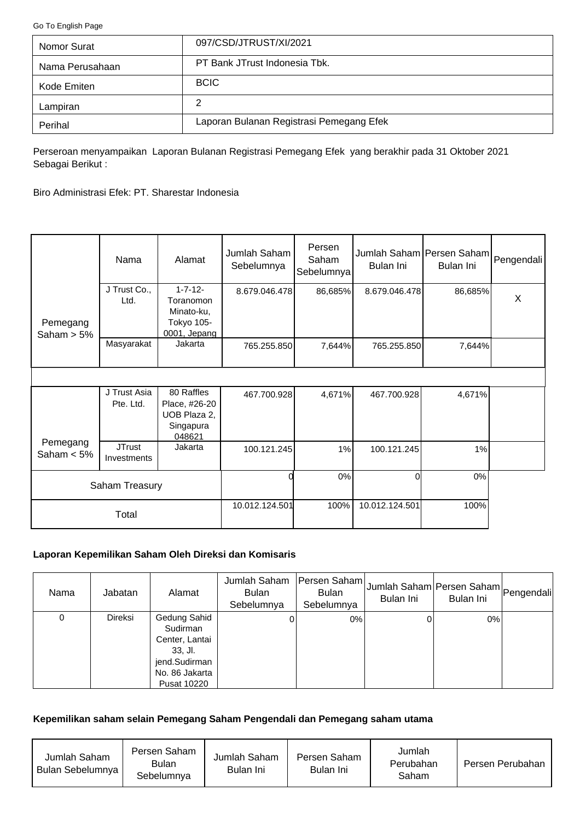<span id="page-0-0"></span>[Go To English Page](#page-2-0)

| Nomor Surat     | 097/CSD/JTRUST/XI/2021                   |
|-----------------|------------------------------------------|
| Nama Perusahaan | PT Bank JTrust Indonesia Tbk.            |
| Kode Emiten     | <b>BCIC</b>                              |
| Lampiran        | 2                                        |
| Perihal         | Laporan Bulanan Registrasi Pemegang Efek |

Perseroan menyampaikan Laporan Bulanan Registrasi Pemegang Efek yang berakhir pada 31 Oktober 2021 Sebagai Berikut :

Biro Administrasi Efek: PT. Sharestar Indonesia

|                           | Nama                         | Alamat                                                                  | Jumlah Saham<br>Sebelumnya | Persen<br>Saham<br>Sebelumnya | Jumlah Saham Persen Saham Pengendali<br>Bulan Ini | Bulan Ini |   |
|---------------------------|------------------------------|-------------------------------------------------------------------------|----------------------------|-------------------------------|---------------------------------------------------|-----------|---|
| Pemegang<br>Saham $> 5\%$ | J Trust Co.,<br>Ltd.         | $1 - 7 - 12 -$<br>Toranomon<br>Minato-ku,<br>Tokyo 105-<br>0001, Jepang | 8.679.046.478              | 86,685%                       | 8.679.046.478                                     | 86,685%   | X |
|                           | Masyarakat                   | Jakarta                                                                 | 765.255.850                | 7,644%                        | 765.255.850                                       | 7,644%    |   |
|                           |                              |                                                                         |                            |                               |                                                   |           |   |
|                           | J Trust Asia<br>Pte. Ltd.    | 80 Raffles<br>Place, #26-20<br>UOB Plaza 2,<br>Singapura<br>048621      | 467.700.928                | 4,671%                        | 467.700.928                                       | 4,671%    |   |
| Pemegang<br>Saham $< 5\%$ | <b>JTrust</b><br>Investments | Jakarta                                                                 | 100.121.245                | 1%                            | 100.121.245                                       | 1%        |   |
| Saham Treasury            |                              |                                                                         | 0%                         | Οl                            | 0%                                                |           |   |
|                           | Total                        |                                                                         | 10.012.124.501             | 100%                          | 10.012.124.501                                    | 100%      |   |

# **Laporan Kepemilikan Saham Oleh Direksi dan Komisaris**

| Nama | Jabatan        | Alamat                                                                                                  | Jumlah Saham<br><b>Bulan</b><br>Sebelumnya | Persen Saham<br><b>Bulan</b><br>Sebelumnya | Jumlah Saham Persen Saham Pengendali<br>Bulan Ini | Bulan Ini |  |
|------|----------------|---------------------------------------------------------------------------------------------------------|--------------------------------------------|--------------------------------------------|---------------------------------------------------|-----------|--|
| 0    | <b>Direksi</b> | Gedung Sahid<br>Sudirman<br>Center, Lantai<br>33, Jl.<br>jend.Sudirman<br>No. 86 Jakarta<br>Pusat 10220 |                                            | 0%                                         |                                                   | $0\%$     |  |

#### **Kepemilikan saham selain Pemegang Saham Pengendali dan Pemegang saham utama**

| Jumlah Saham<br>Bulan Sebelumnya I | Persen Saham<br>Bulan<br>Sebelumnya | Jumlah Saham<br>Bulan Ini | Persen Saham<br>Bulan Ini | Jumlah<br>Perubahan<br>Saham | Persen Perubahan |
|------------------------------------|-------------------------------------|---------------------------|---------------------------|------------------------------|------------------|
|------------------------------------|-------------------------------------|---------------------------|---------------------------|------------------------------|------------------|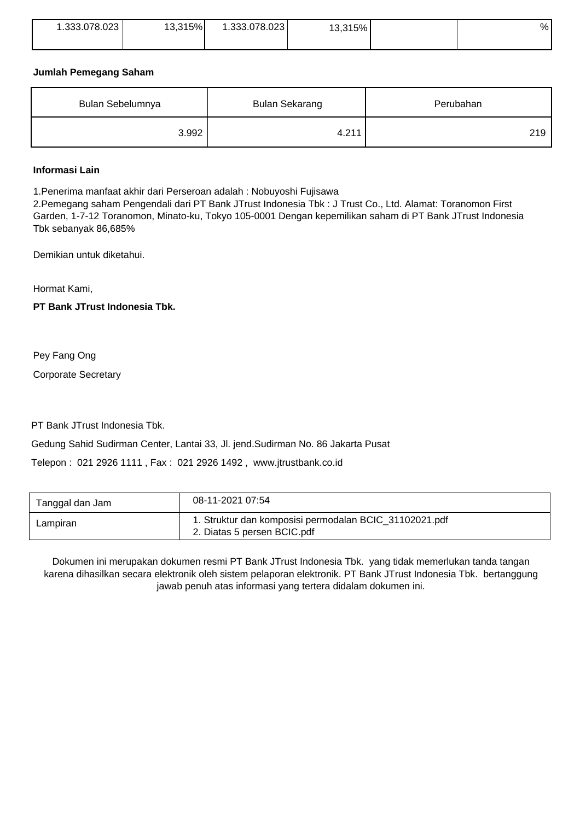| 1.333.078.023 | 13,315% | .333.078.023 | 13,315% | % |
|---------------|---------|--------------|---------|---|
|               |         |              |         |   |

### **Jumlah Pemegang Saham**

| Bulan Sebelumnya | <b>Bulan Sekarang</b> | Perubahan |  |
|------------------|-----------------------|-----------|--|
| 3.992            | 4.211                 | 219       |  |

### **Informasi Lain**

1.Penerima manfaat akhir dari Perseroan adalah : Nobuyoshi Fujisawa

2.Pemegang saham Pengendali dari PT Bank JTrust Indonesia Tbk : J Trust Co., Ltd. Alamat: Toranomon First Garden, 1-7-12 Toranomon, Minato-ku, Tokyo 105-0001 Dengan kepemilikan saham di PT Bank JTrust Indonesia Tbk sebanyak 86,685%

Demikian untuk diketahui.

Hormat Kami,

**PT Bank JTrust Indonesia Tbk.**

Pey Fang Ong

Corporate Secretary

PT Bank JTrust Indonesia Tbk.

Gedung Sahid Sudirman Center, Lantai 33, Jl. jend.Sudirman No. 86 Jakarta Pusat

Telepon : 021 2926 1111 , Fax : 021 2926 1492 , www.jtrustbank.co.id

| Tanggal dan Jam | 08-11-2021 07:54                                                                      |
|-----------------|---------------------------------------------------------------------------------------|
| Lampiran        | 1. Struktur dan komposisi permodalan BCIC_31102021.pdf<br>2. Diatas 5 persen BCIC.pdf |

Dokumen ini merupakan dokumen resmi PT Bank JTrust Indonesia Tbk. yang tidak memerlukan tanda tangan karena dihasilkan secara elektronik oleh sistem pelaporan elektronik. PT Bank JTrust Indonesia Tbk. bertanggung jawab penuh atas informasi yang tertera didalam dokumen ini.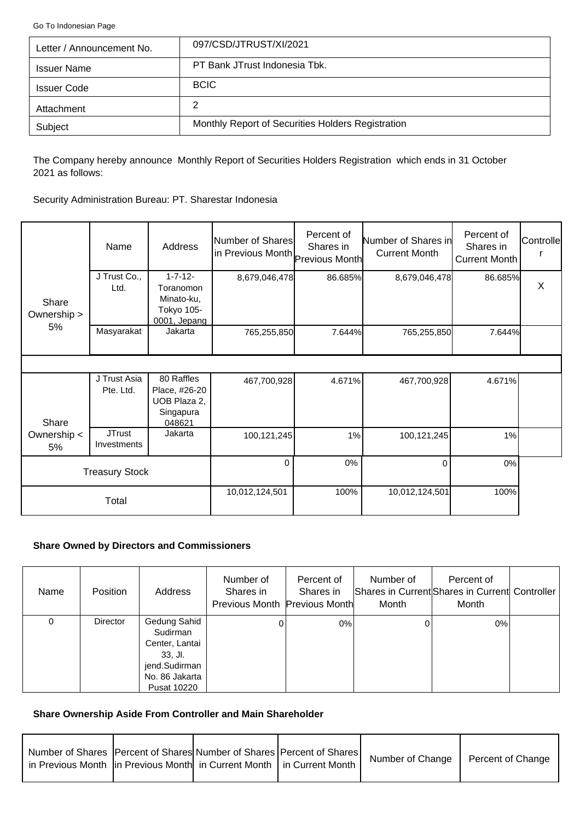<span id="page-2-0"></span>[Go To Indonesian Page](#page-0-0)

| Letter / Announcement No. | 097/CSD/JTRUST/XI/2021                            |
|---------------------------|---------------------------------------------------|
| <b>Issuer Name</b>        | PT Bank JTrust Indonesia Tbk.                     |
| <b>Issuer Code</b>        | <b>BCIC</b>                                       |
| Attachment                | 2                                                 |
| Subject                   | Monthly Report of Securities Holders Registration |

The Company hereby announce Monthly Report of Securities Holders Registration which ends in 31 October 2021 as follows:

Security Administration Bureau: PT. Sharestar Indonesia

|                      | Name                         | Address                                                                 | Number of Shares<br>in Previous Month Previous Month | Percent of<br>Shares in | Number of Shares in<br><b>Current Month</b> | Percent of<br>Shares in<br>Current Month | Controlle |
|----------------------|------------------------------|-------------------------------------------------------------------------|------------------------------------------------------|-------------------------|---------------------------------------------|------------------------------------------|-----------|
| Share<br>Ownership > | J Trust Co.,<br>Ltd.         | $1 - 7 - 12 -$<br>Toranomon<br>Minato-ku,<br>Tokyo 105-<br>0001, Jepang | 8,679,046,478                                        | 86.685%                 | 8,679,046,478                               | 86.685%                                  | $\sf X$   |
| 5%                   | Masyarakat                   | Jakarta                                                                 | 765,255,850                                          | 7.644%                  | 765,255,850                                 | 7.644%                                   |           |
|                      |                              |                                                                         |                                                      |                         |                                             |                                          |           |
| Share                | J Trust Asia<br>Pte. Ltd.    | 80 Raffles<br>Place, #26-20<br>UOB Plaza 2,<br>Singapura<br>048621      | 467,700,928                                          | 4.671%                  | 467,700,928                                 | 4.671%                                   |           |
| Ownership <<br>5%    | <b>JTrust</b><br>Investments | Jakarta                                                                 | 100,121,245                                          | 1%                      | 100,121,245                                 | 1%                                       |           |
|                      | <b>Treasury Stock</b>        |                                                                         | $\Omega$                                             | 0%                      | $\Omega$                                    | $0\%$                                    |           |
|                      | Total                        |                                                                         | 10,012,124,501                                       | 100%                    | 10,012,124,501                              | 100%                                     |           |

# **Share Owned by Directors and Commissioners**

| Name | <b>Position</b> | Address                                                                                                          | Number of<br>Shares in<br>Previous Month Previous Month | Percent of<br>Shares in | Number of<br>Month | Percent of<br>Shares in Current Shares in Current Controller<br>Month |  |
|------|-----------------|------------------------------------------------------------------------------------------------------------------|---------------------------------------------------------|-------------------------|--------------------|-----------------------------------------------------------------------|--|
| 0    | <b>Director</b> | Gedung Sahid<br>Sudirman<br>Center, Lantai<br>$33.$ Jl.<br>jend.Sudirman<br>No. 86 Jakarta<br><b>Pusat 10220</b> |                                                         | 0%                      |                    | $0\%$                                                                 |  |

# **Share Ownership Aside From Controller and Main Shareholder**

| Number of Shares   Percent of Shares  Number of Shares   Percent of Shares  <br>in Previous Month  in Previous Month  in Current Month   in Current Month |  | Number of Change | Percent of Change |
|-----------------------------------------------------------------------------------------------------------------------------------------------------------|--|------------------|-------------------|
|                                                                                                                                                           |  |                  |                   |